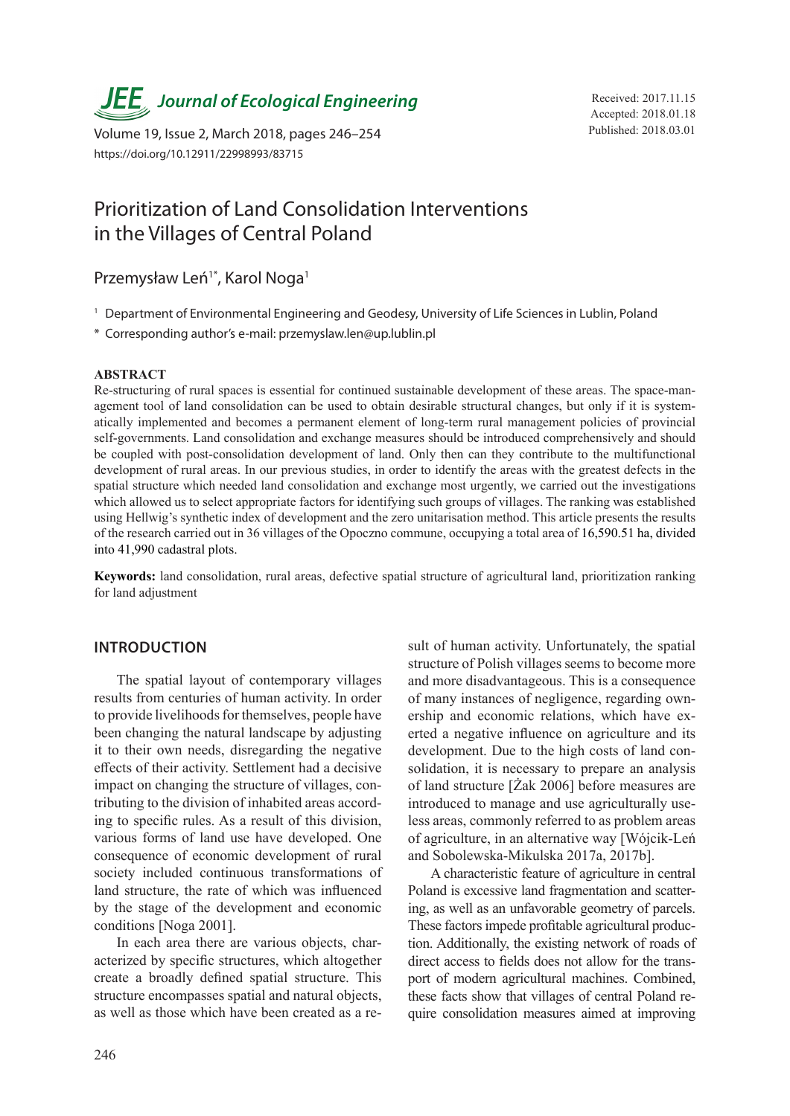**JEE** Journal of Ecological Engineering Received: 2017.11.15

Published: 2018.03.01 Volume 19, Issue 2, March 2018, pages 246–254 https://doi.org/10.12911/22998993/83715

Accepted: 2018.01.18

# Prioritization of Land Consolidation Interventions in the Villages of Central Poland

# Przemysław Leń<sup>1\*</sup>, Karol Noga<sup>1</sup>

- <sup>1</sup> Department of Environmental Engineering and Geodesy, University of Life Sciences in Lublin, Poland
- \* Corresponding author's e-mail: przemyslaw.len@up.lublin.pl

#### **ABSTRACT**

Re-structuring of rural spaces is essential for continued sustainable development of these areas. The space-management tool of land consolidation can be used to obtain desirable structural changes, but only if it is systematically implemented and becomes a permanent element of long-term rural management policies of provincial self-governments. Land consolidation and exchange measures should be introduced comprehensively and should be coupled with post-consolidation development of land. Only then can they contribute to the multifunctional development of rural areas. In our previous studies, in order to identify the areas with the greatest defects in the spatial structure which needed land consolidation and exchange most urgently, we carried out the investigations which allowed us to select appropriate factors for identifying such groups of villages. The ranking was established using Hellwig's synthetic index of development and the zero unitarisation method. This article presents the results of the research carried out in 36 villages of the Opoczno commune, occupying a total area of 16,590.51 ha, divided into 41,990 cadastral plots.

**Keywords:** land consolidation, rural areas, defective spatial structure of agricultural land, prioritization ranking for land adjustment

### **INTRODUCTION**

The spatial layout of contemporary villages results from centuries of human activity. In order to provide livelihoods for themselves, people have been changing the natural landscape by adjusting it to their own needs, disregarding the negative effects of their activity. Settlement had a decisive impact on changing the structure of villages, contributing to the division of inhabited areas according to specific rules. As a result of this division, various forms of land use have developed. One consequence of economic development of rural society included continuous transformations of land structure, the rate of which was influenced by the stage of the development and economic conditions [Noga 2001].

In each area there are various objects, characterized by specific structures, which altogether create a broadly defined spatial structure. This structure encompasses spatial and natural objects, as well as those which have been created as a result of human activity. Unfortunately, the spatial structure of Polish villages seems to become more and more disadvantageous. This is a consequence of many instances of negligence, regarding ownership and economic relations, which have exerted a negative influence on agriculture and its development. Due to the high costs of land consolidation, it is necessary to prepare an analysis of land structure [Żak 2006] before measures are introduced to manage and use agriculturally useless areas, commonly referred to as problem areas of agriculture, in an alternative way [Wójcik-Leń and Sobolewska-Mikulska 2017a, 2017b].

A characteristic feature of agriculture in central Poland is excessive land fragmentation and scattering, as well as an unfavorable geometry of parcels. These factors impede profitable agricultural production. Additionally, the existing network of roads of direct access to fields does not allow for the transport of modern agricultural machines. Combined, these facts show that villages of central Poland require consolidation measures aimed at improving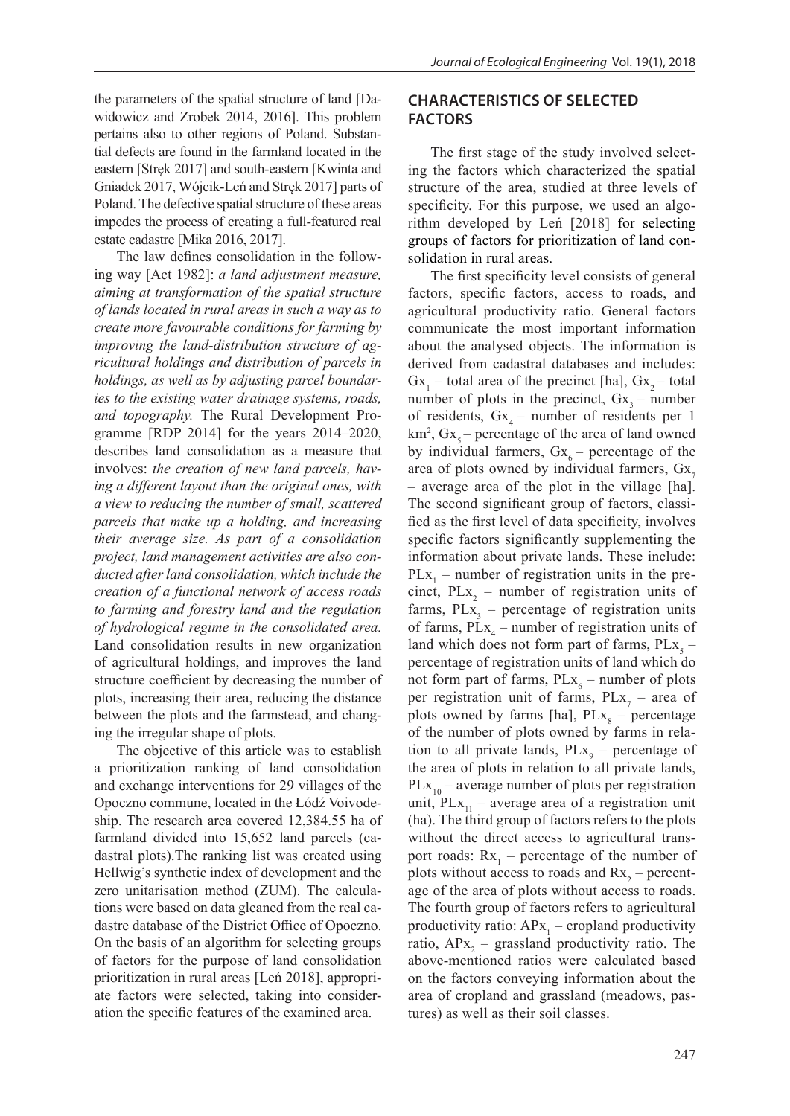the parameters of the spatial structure of land [Dawidowicz and Zrobek 2014, 2016]. This problem pertains also to other regions of Poland. Substantial defects are found in the farmland located in the eastern [Stręk 2017] and south-eastern [Kwinta and Gniadek 2017, Wójcik-Leń and Stręk 2017] parts of Poland. The defective spatial structure of these areas impedes the process of creating a full-featured real estate cadastre [Mika 2016, 2017].

The law defines consolidation in the following way [Act 1982]: *a land adjustment measure, aiming at transformation of the spatial structure of lands located in rural areas in such a way as to create more favourable conditions for farming by improving the land-distribution structure of agricultural holdings and distribution of parcels in holdings, as well as by adjusting parcel boundaries to the existing water drainage systems, roads, and topography.* The Rural Development Programme [RDP 2014] for the years 2014–2020, describes land consolidation as a measure that involves: *the creation of new land parcels, having a different layout than the original ones, with a view to reducing the number of small, scattered parcels that make up a holding, and increasing their average size. As part of a consolidation project, land management activities are also conducted after land consolidation, which include the creation of a functional network of access roads to farming and forestry land and the regulation of hydrological regime in the consolidated area.*  Land consolidation results in new organization of agricultural holdings, and improves the land structure coefficient by decreasing the number of plots, increasing their area, reducing the distance between the plots and the farmstead, and changing the irregular shape of plots.

The objective of this article was to establish a prioritization ranking of land consolidation and exchange interventions for 29 villages of the Opoczno commune, located in the Łódź Voivodeship. The research area covered 12,384.55 ha of farmland divided into 15,652 land parcels (cadastral plots).The ranking list was created using Hellwig's synthetic index of development and the zero unitarisation method (ZUM). The calculations were based on data gleaned from the real cadastre database of the District Office of Opoczno. On the basis of an algorithm for selecting groups of factors for the purpose of land consolidation prioritization in rural areas [Leń 2018], appropriate factors were selected, taking into consideration the specific features of the examined area.

# **CHARACTERISTICS OF SELECTED FACTORS**

The first stage of the study involved selecting the factors which characterized the spatial structure of the area, studied at three levels of specificity. For this purpose, we used an algorithm developed by Leń [2018] for selecting groups of factors for prioritization of land consolidation in rural areas.

The first specificity level consists of general factors, specific factors, access to roads, and agricultural productivity ratio. General factors communicate the most important information about the analysed objects. The information is derived from cadastral databases and includes:  $Gx_1$  – total area of the precinct [ha],  $Gx_2$  – total number of plots in the precinct,  $Gx_3$  – number of residents,  $Gx_4$  – number of residents per 1  $km^2$ ,  $Gx_5$  – percentage of the area of land owned by individual farmers,  $Gx_6$  – percentage of the area of plots owned by individual farmers,  $Gx$ <sub>7</sub> – average area of the plot in the village [ha]. The second significant group of factors, classified as the first level of data specificity, involves specific factors significantly supplementing the information about private lands. These include:  $PLx_1$  – number of registration units in the precinct,  $PLx_2$  – number of registration units of farms,  $PLx_3$  – percentage of registration units of farms,  $PLx_4$  – number of registration units of land which does not form part of farms,  $PLx_5$ percentage of registration units of land which do not form part of farms,  $PLx_6$  – number of plots per registration unit of farms,  $PLx_7$  – area of plots owned by farms [ha],  $PLx_8$  – percentage of the number of plots owned by farms in relation to all private lands,  $PLx_9$  – percentage of the area of plots in relation to all private lands,  $PLx_{10}$  – average number of plots per registration unit,  $PLx_{11}$  – average area of a registration unit (ha). The third group of factors refers to the plots without the direct access to agricultural transport roads:  $Rx_1$  – percentage of the number of plots without access to roads and  $Rx_2$  – percentage of the area of plots without access to roads. The fourth group of factors refers to agricultural productivity ratio:  $APx_1$  – cropland productivity ratio,  $APx_2$  – grassland productivity ratio. The above-mentioned ratios were calculated based on the factors conveying information about the area of cropland and grassland (meadows, pastures) as well as their soil classes.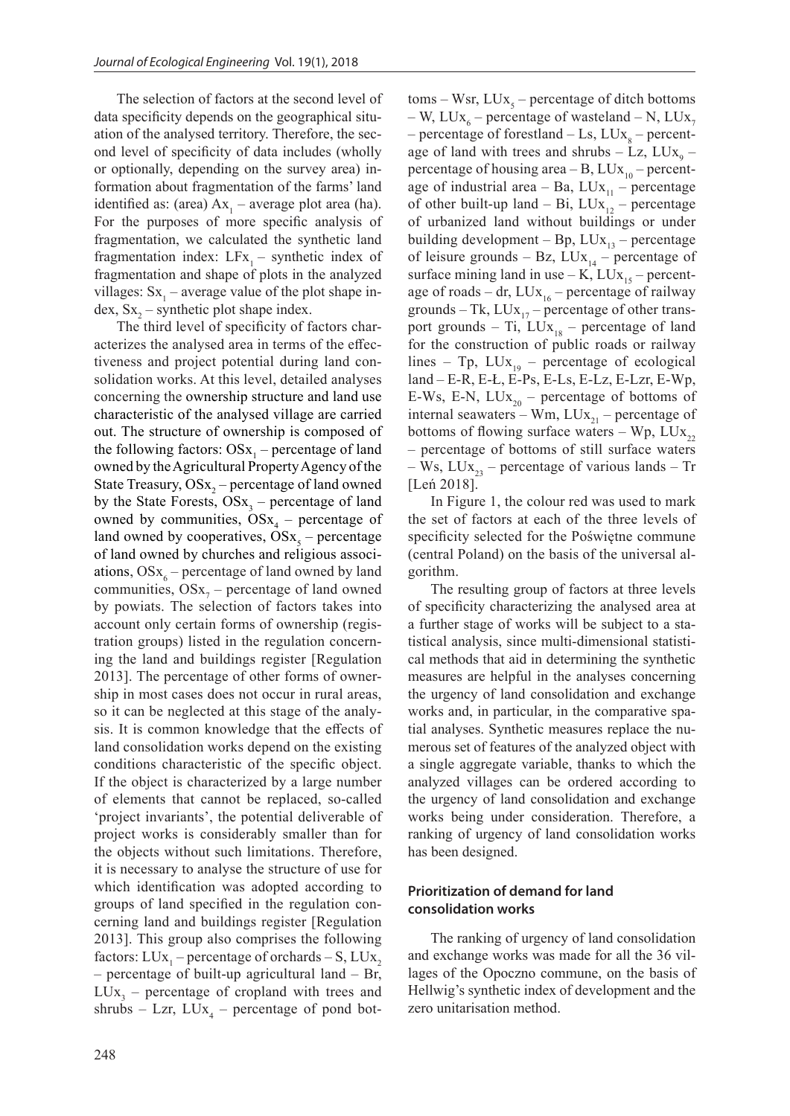The selection of factors at the second level of data specificity depends on the geographical situation of the analysed territory. Therefore, the second level of specificity of data includes (wholly or optionally, depending on the survey area) information about fragmentation of the farms' land identified as: (area)  $Ax_1$  – average plot area (ha). For the purposes of more specific analysis of fragmentation, we calculated the synthetic land fragmentation index:  $LFx_1$  – synthetic index of fragmentation and shape of plots in the analyzed villages:  $Sx_1$  – average value of the plot shape index,  $Sx_2$  – synthetic plot shape index.

The third level of specificity of factors characterizes the analysed area in terms of the effectiveness and project potential during land consolidation works. At this level, detailed analyses concerning the ownership structure and land use characteristic of the analysed village are carried out. The structure of ownership is composed of the following factors:  $OSx_1$  – percentage of land owned by the Agricultural Property Agency of the State Treasury,  $OSx_2$  – percentage of land owned by the State Forests,  $OSx_3$  – percentage of land owned by communities,  $OSx_4$  – percentage of land owned by cooperatives,  $OSx_5$  – percentage of land owned by churches and religious associations,  $OSx_6$  – percentage of land owned by land communities,  $OSx_7$  – percentage of land owned by powiats. The selection of factors takes into account only certain forms of ownership (registration groups) listed in the regulation concerning the land and buildings register [Regulation 2013]. The percentage of other forms of ownership in most cases does not occur in rural areas, so it can be neglected at this stage of the analysis. It is common knowledge that the effects of land consolidation works depend on the existing conditions characteristic of the specific object. If the object is characterized by a large number of elements that cannot be replaced, so-called 'project invariants', the potential deliverable of project works is considerably smaller than for the objects without such limitations. Therefore, it is necessary to analyse the structure of use for which identification was adopted according to groups of land specified in the regulation concerning land and buildings register [Regulation 2013]. This group also comprises the following factors:  $LUx_1$  – percentage of orchards – S,  $LUx_2$ – percentage of built-up agricultural land – Br,  $LUx_3$  – percentage of cropland with trees and shrubs  $-$  Lzr,  $LUx_4$  – percentage of pond bot-

 $toms - Wsr, LUx<sub>5</sub> - percentage of ditch bottoms$ – W, LUx<sub>6</sub> – percentage of wasteland – N, LUx<sub>7</sub> – percentage of forestland – Ls,  $LUx_{8}$  – percentage of land with trees and shrubs  $-$  Lz, LUx<sub>9</sub>  $$ percentage of housing area  $-B$ , LUx<sub>10</sub> – percentage of industrial area – Ba,  $LUx_{11}$  – percentage of other built-up land – Bi,  $LUX_{12}$  – percentage of urbanized land without buildings or under building development – Bp,  $LUX_{12}$  – percentage of leisure grounds – Bz,  $LUx_{14}$  – percentage of surface mining land in use – K,  $LUx_{15}$  – percentage of roads – dr,  $LUx_{16}$  – percentage of railway grounds – Tk,  $LUx_{17}$  – percentage of other transport grounds – Ti,  $LUx_{18}$  – percentage of land for the construction of public roads or railway lines – Tp,  $LUx_{19}$  – percentage of ecological land – E-R, E-Ł, E-Ps, E-Ls, E-Lz, E-Lzr, E-Wp, E-Ws, E-N,  $LUx_{20}$  – percentage of bottoms of internal seawaters – Wm,  $LUx_{21}$  – percentage of bottoms of flowing surface waters – Wp,  $LUx_{22}$ – percentage of bottoms of still surface waters – Ws,  $LUx_{23}$  – percentage of various lands – Tr [Leń 2018].

In Figure 1, the colour red was used to mark the set of factors at each of the three levels of specificity selected for the Poświętne commune (central Poland) on the basis of the universal algorithm.

The resulting group of factors at three levels of specificity characterizing the analysed area at a further stage of works will be subject to a statistical analysis, since multi-dimensional statistical methods that aid in determining the synthetic measures are helpful in the analyses concerning the urgency of land consolidation and exchange works and, in particular, in the comparative spatial analyses. Synthetic measures replace the numerous set of features of the analyzed object with a single aggregate variable, thanks to which the analyzed villages can be ordered according to the urgency of land consolidation and exchange works being under consideration. Therefore, a ranking of urgency of land consolidation works has been designed.

### **Prioritization of demand for land consolidation works**

The ranking of urgency of land consolidation and exchange works was made for all the 36 villages of the Opoczno commune, on the basis of Hellwig's synthetic index of development and the zero unitarisation method.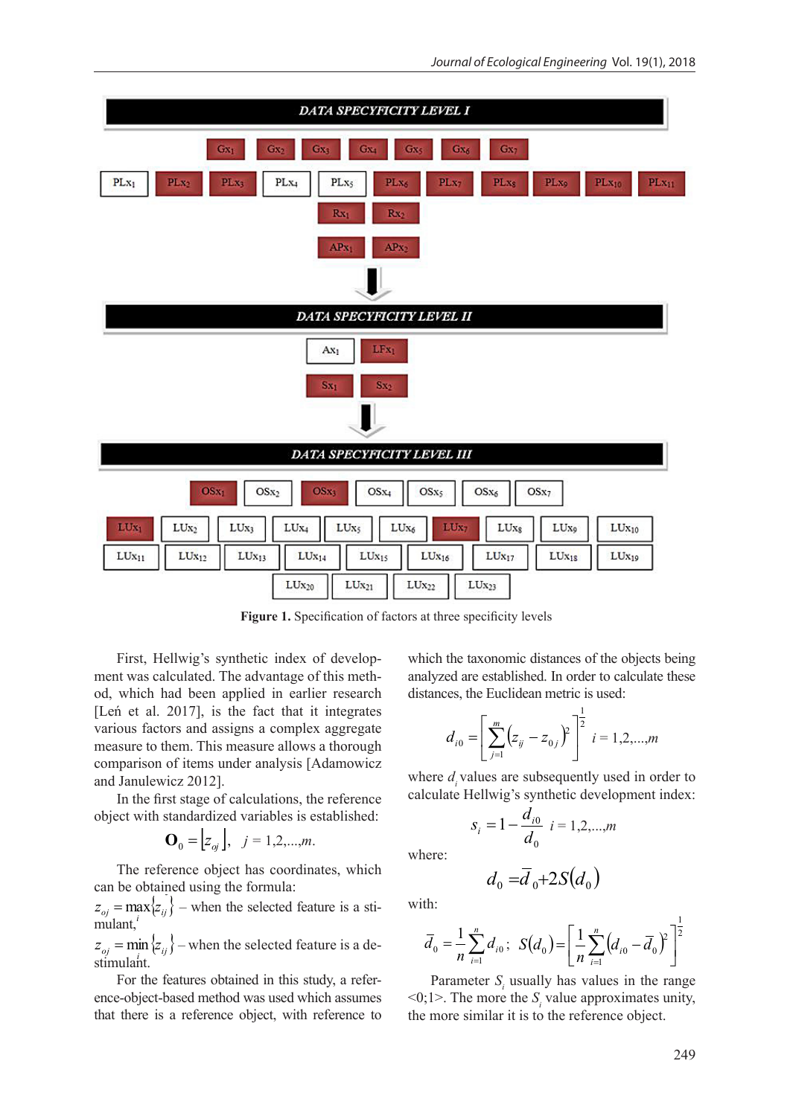

First, Hellwig's synthetic index of development was calculated. The advantage of this method, which had been applied in earlier research [Len et al. 2017], is the fact that it integrates  $\begin{bmatrix} m & 1 \end{bmatrix}$ various factors and assigns a complex aggregate measure to them. This measure allows a thorough comparison of items under analysis [Adamowicz and Janulewicz 2012]. asure allows a thorough  $d_{i0} = \left[ \sum_{j=1}^{n} (z_{ij} - z_{0j}) \right]$   $i = 1, 2, ..., m$ <br>
ir analysis [Adamowicz where  $d_i$  values are subsequently used in order to

In the first stage of calculations, the reference object with standardized variables is established:

$$
\mathbf{O}_0 = \begin{bmatrix} z_{oj} \end{bmatrix}, \quad j = 1, 2, \dots, m.
$$

The reference object has coordinates, which will can be obtained using the formula: , *j=1,2,...,m*.

 $m$ ulant,  $n \geq 1$  $z_{oj} = \max_{i} \{z_{ij}\}$  – when the selected feature is a sti-<br>with: mulant,<sup>*i*</sup>  $z_{oj} = \max_{i} \{z_{ij}\}\$  – when the selected feature is a smulant,<sup>*i*</sup>

 $F_{oj}$  that  $F_{ij}$  when the servered reduce is a defined which  $n \sum_{i=1}^{n} n_i$ ,  $\sum_{i=1}^{n} (n_i - n_i)$  $m_{\text{beam}}$  the selected feature is a destinguished structure is a desired structure is a desired structure is a desired structure in  $\alpha$  definition of  $\alpha$ For the features obtained in the feature object-based method was used which was used which was used which was used which was used which was used which was used which was used which was used which was used which was used w  $\sum_{j} z_{ij} = \min \{z_{ij}\}$  – when the selected feature is a de- $F_{\rm eff}$  the features obtained in this study, a reference-object-based method was used which was used which was used which was used which was used which was used which was used which was used which was used which was used stimulant.

 $\alpha$  assumed that the taxonomic distances obteined in this study a reference to Dependence is usually be  $\frac{1}{2}$  being a chief heard method. In order to calculate the Euclidean metric is used: Exercise object, with reference to<br>difference object, with reference to ence-object-based method was used which assumes <0;1>. The more the For the leatures obtained in this study, a refer-<br> $\sum_i$  rarameter  $S_i$  used: For the features obtained in this study, a refer-<br>
Parameter  $S_i$  usually that there is a reference object, with reference to  $\mathcal{O}(\mathcal{O})$ *<sup>i</sup> ij <sup>j</sup> d z z*

lex of develop-<br>which the taxonomic distances of the objects being advantage of this meth-<br>analyzed are established. In order to calculate these lied in earlier research distances, the Euclidean metric is used: age of this mem-<br>For the study, and the feature method was used which was used which was used which was used which was used which was used which was used which was used which was used which was used which was used which wa pplied in earlier research distances, the Euclidean metric is used:

$$
d_{i0} = \left[ \sum_{j=1}^{m} \left( z_{ij} - z_{0j} \right)^2 \right]^{\frac{1}{2}} i = 1, 2, ..., m
$$

calculations, the reference calculate Hellwig's synthetic development index:

$$
s_i = 1 - \frac{d_{i0}}{d_0} \quad i = 1, 2, \dots, m
$$

where:

$$
d_0 = \overline{d}_0 + 2S(d_0)
$$

with:

feature is a such that:  
\nf eature is a de-
$$
\overline{d}_0 = \frac{1}{n} \sum_{i=1}^n d_{i0}; \quad S(d_0) = \left[ \frac{1}{n} \sum_{i=1}^n (d_{i0} - \overline{d}_0)^2 \right]^{\frac{1}{2}}
$$

ed in this study, a refer-<br>Parameter  $S_i$  usually has values in the range od was used which assumes  $\langle 0; 1 \rangle$ . The more the  $S_i$  value approximates unity, e object, with reference to the more similar it is to the reference object.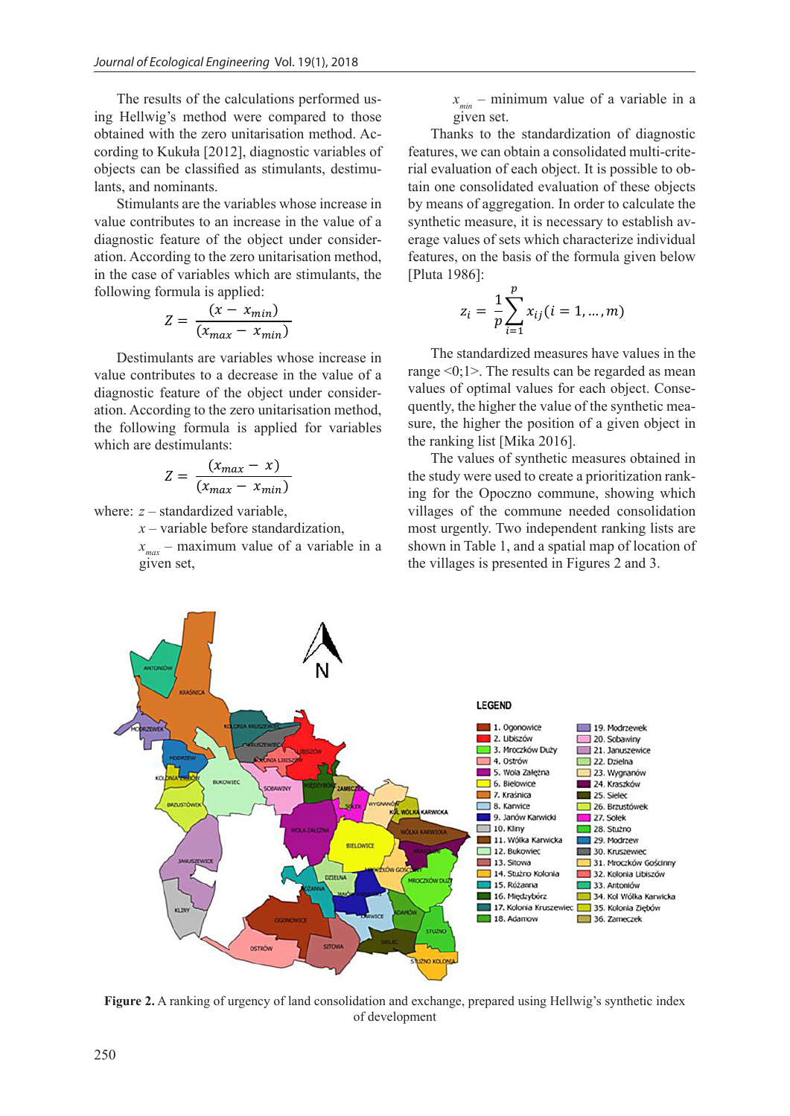The results of the calculations performed us-<br>*x<sub>min</sub>* – minimum value of a variable ing Hellwig's method were compared to those gi obtained with the zero unitarisation method. According to Kukuła [2012], diagnostic variables of objects can be classified as stimulants, destimu- *d*<sup>0</sup> *d* <sup>0</sup>2*S d*<sup>0</sup> lants, and nominants.

s, and nominants.<br>Stimulants are the variables whose increase in value contributes to an increase in the value of a<br>diagnostic feature of the object under consider value contributes to an increase in the value of a<br>diagnostic feature of the object under consideration. According to the zero unitarisation method, features, on the basis ation. According to the zero unitarisation method, features, on the basis<br>in the case of variables which are stimulants, the [Pluta 1986]: following formula is applied:  $\frac{p}{1}$ *i* ue cor<br>agnosti 0 0  $\overline{1}$ Figures in the value of a<br>
biject under consider*i* **d**<sub>*d***</sub>** *d***<sub><b>***d***</sub>** *d*<sub>*a*</sub> *d*<sub>*d*</sub> *d*<sub>*i*</sub> *d*<sub>*d*</sub> *d*<sub>*d*</sub> *d*<sub>*d*</sub> *d*<sub>*d*</sub> *d*<sub>*d*</sub> *d*<sub>*d*</sub> *d*<sub>*d*</sub> *d*<sub>*d*</sub> *d*<sub>*d*</sub> *d*<sub>*d*</sub> *d*<sub>*d*</sub> *d*<sub>*d*</sub> *d*<sub>*d*</sub> *d*<sub>*d*</sub> *d*<sub>*d*</sub> *d*<sub>*d*</sub> *d*<sub>*d*</sub> *d*<sub>*d*</sub> *d*<sub>*d*</sub></sub></sub> from *According to the zero unitarisation method, the case of variables which are stimulants, the* 0 0  $\overline{a}$ which are stimulants, the *<sup>i</sup> d d S d*

$$
Z = \frac{(x - x_{min})}{(x_{max} - x_{min})}
$$
  $z_i = \frac{1}{p} \sum_{i=1}^{n} x_i$ 

Destimulants are variables whose increase in  $\frac{1}{2}$  decrease in the value of a decrease in the value of  $\frac{1}{2}$  decrease in the value of  $\frac{1}{2}$  decrease in the value of  $\frac{1}{2}$  decrease in the value of  $\frac{1}{2}$ value contributes to a decrease in the value of a  $\frac{\text{range} < 0; 1>}{\text{range} < 0; 1>1}$ . The results diagnostic feature of the object under consider-<br>diagnostic feature of the object under consider-<br> $\frac{1}{2}$  and  $\frac{1}{2}$  and  $\frac{1}{2}$  and  $\frac{1}{2}$  and  $\frac{1}{2}$  and  $\frac{1}{2}$  and  $\frac{1}{2}$  and  $\frac{1}{2}$  and  $\frac{1}{2}$  an the following formula is appl<br>which are destimulants:  $\left( u \right)$   $\left( u \right)$   $\left( u \right)$ Destimulants are variables whose increase in ation. According to the zero unitarisation method, quently, the higher the price of the object unit of the state of the state of the state of the state of the state of the state of the state of the state of the state of th the following formula is applied for variables

$$
Z = \frac{(x_{max} - x)}{(x_{max} - x_{min})}
$$

 $\frac{(\lambda_{max} - \lambda_{min})}{(\lambda_{max} - \lambda_{min})}$ <br>where: *z* – standardized variable,

 $x$  – variable before standardization,

 $x$  – variable before standardization,<br> $x_{max}$  – maximum value of a variable in a<br>given set given set,

\n 
$$
x_{\text{min}} - \text{minimum value of a variable in a}
$$
\n  
\n  $x_{\text{min}} - \text{minimum value of a variable in a}$ \n

given set.<br>Thanks to the standardization of diagnostic frames to the standardization of diagnosite features, we can obtain a consolidated multi-criteas stimulants, destimu-<br>rial evaluation of each object. It is possible to obtain one consolidated evaluation of these objects iables whose increase in by means of aggregation. In order to calculate the synthetic measure, it is necessary to establish average values of sets which characterize individual erage values of sets which characterize individual<br>features, on the basis of the formula given below [Pluta 1986]:  $\frac{1}{2}$  asis of the form

$$
z_i = \frac{1}{p} \sum_{i=1}^{p} x_{ij} (i = 1, ..., m)
$$

The standardized measures have values in the range <0;1>. The results can be regarded as mean values of optimal values for each object. Consequently, the higher the value of the synthetic measure, the higher the position of a given object in the ranking list [Mika 2016].

The values of synthetic measures obtained in the study were used to create a prioritization ranking for the Opoczno commune, showing which villages of the commune needed consolidation most urgently. Two independent ranking lists are shown in Table 1, and a spatial map of location of the villages is presented in Figures 2 and 3.



**Figure 2.** A ranking of urgency of land consolidation and exchange, prepared using Hellwig's synthetic index of development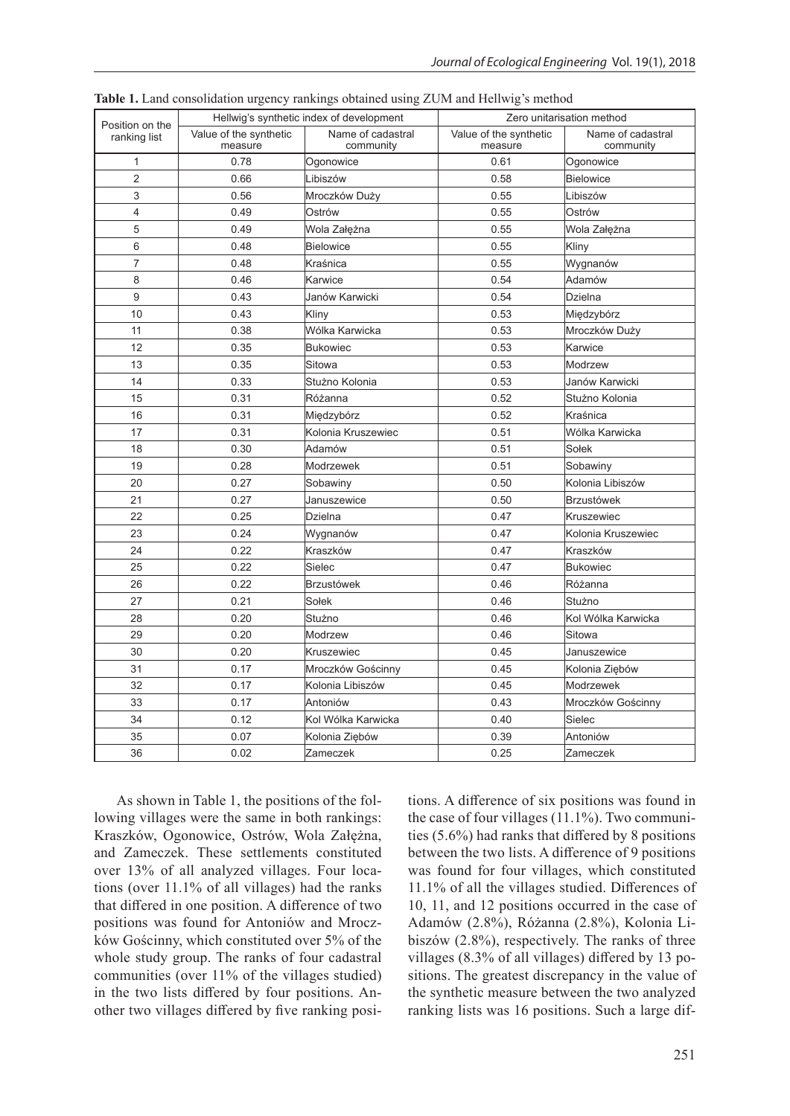|                                 |                                          | ---o- - - ------ - -<br>--o -- | כ -                               |                                |
|---------------------------------|------------------------------------------|--------------------------------|-----------------------------------|--------------------------------|
| Position on the<br>ranking list | Hellwig's synthetic index of development |                                | Zero unitarisation method         |                                |
|                                 | Value of the synthetic<br>measure        | Name of cadastral<br>community | Value of the synthetic<br>measure | Name of cadastral<br>community |
| 1                               | 0.78                                     | Ogonowice                      | 0.61                              | Ogonowice                      |
| $\overline{2}$                  | 0.66                                     | Libiszów                       | 0.58                              | <b>Bielowice</b>               |
| 3                               | 0.56                                     | Mroczków Duży                  | 0.55                              | Libiszów                       |
| 4                               | 0.49                                     | Ostrów                         | 0.55                              | Ostrów                         |
| 5                               | 0.49                                     | Wola Załężna                   | 0.55                              | Wola Załężna                   |
| 6                               | 0.48                                     | <b>Bielowice</b>               | 0.55                              | Kliny                          |
| 7                               | 0.48                                     | Kraśnica                       | 0.55                              | Wygnanów                       |
| 8                               | 0.46                                     | Karwice                        | 0.54                              | Adamów                         |
| 9                               | 0.43                                     | Janów Karwicki                 | 0.54                              | Dzielna                        |
| 10                              | 0.43                                     | Kliny                          | 0.53                              | Międzybórz                     |
| 11                              | 0.38                                     | Wólka Karwicka                 | 0.53                              | Mroczków Duży                  |
| 12                              | 0.35                                     | Bukowiec                       | 0.53                              | Karwice                        |
| 13                              | 0.35                                     | Sitowa                         | 0.53                              | Modrzew                        |
| 14                              | 0.33                                     | Stużno Kolonia                 | 0.53                              | Janów Karwicki                 |
| 15                              | 0.31                                     | Różanna                        | 0.52                              | Stużno Kolonia                 |
| 16                              | 0.31                                     | Międzybórz                     | 0.52                              | Kraśnica                       |
| 17                              | 0.31                                     | Kolonia Kruszewiec             | 0.51                              | Wólka Karwicka                 |
| 18                              | 0.30                                     | Adamów                         | 0.51                              | Solek                          |
| 19                              | 0.28                                     | Modrzewek                      | 0.51                              | Sobawiny                       |
| 20                              | 0.27                                     | Sobawiny                       | 0.50                              | Kolonia Libiszów               |
| 21                              | 0.27                                     | Januszewice                    | 0.50                              | <b>Brzustówek</b>              |
| 22                              | 0.25                                     | <b>Dzielna</b>                 | 0.47                              | Kruszewiec                     |
| 23                              | 0.24                                     | Wygnanów                       | 0.47                              | Kolonia Kruszewiec             |
| 24                              | 0.22                                     | Kraszków                       | 0.47                              | lKraszków                      |
| 25                              | 0.22                                     | Sielec                         | 0.47                              | <b>Bukowiec</b>                |
| 26                              | 0.22                                     | Brzustówek                     | 0.46                              | Różanna                        |
| 27                              | 0.21                                     | Sołek                          | 0.46                              | Stużno                         |
| 28                              | 0.20                                     | Stużno                         | 0.46                              | Kol Wólka Karwicka             |
| 29                              | 0.20                                     | Modrzew                        | 0.46                              | Sitowa                         |
| 30                              | 0.20                                     | <b>Kruszewiec</b>              | 0.45                              | Januszewice                    |
| 31                              | 0.17                                     | Mroczków Gościnny              | 0.45                              | Kolonia Ziebów                 |
| 32                              | 0.17                                     | Kolonia Libiszów               | 0.45                              | Modrzewek                      |
| 33                              | 0.17                                     | Antoniów                       | 0.43                              | Mroczków Gościnny              |
| 34                              | 0.12                                     | Kol Wólka Karwicka             | 0.40                              | Sielec                         |
| 35                              | 0.07                                     | Kolonia Ziębów                 | 0.39                              | Antoniów                       |
| 36                              | 0.02                                     | Zameczek                       | 0.25                              | Zameczek                       |
|                                 |                                          |                                |                                   |                                |

**Table 1.** Land consolidation urgency rankings obtained using ZUM and Hellwig's method

As shown in Table 1, the positions of the following villages were the same in both rankings: Kraszków, Ogonowice, Ostrów, Wola Załężna, and Zameczek. These settlements constituted over 13% of all analyzed villages. Four locations (over 11.1% of all villages) had the ranks that differed in one position. A difference of two positions was found for Antoniów and Mroczków Gościnny, which constituted over 5% of the whole study group. The ranks of four cadastral communities (over 11% of the villages studied) in the two lists differed by four positions. Another two villages differed by five ranking positions. A difference of six positions was found in the case of four villages (11.1%). Two communities (5.6%) had ranks that differed by 8 positions between the two lists. A difference of 9 positions was found for four villages, which constituted 11.1% of all the villages studied. Differences of 10, 11, and 12 positions occurred in the case of Adamów (2.8%), Różanna (2.8%), Kolonia Libiszów (2.8%), respectively. The ranks of three villages (8.3% of all villages) differed by 13 positions. The greatest discrepancy in the value of the synthetic measure between the two analyzed ranking lists was 16 positions. Such a large dif-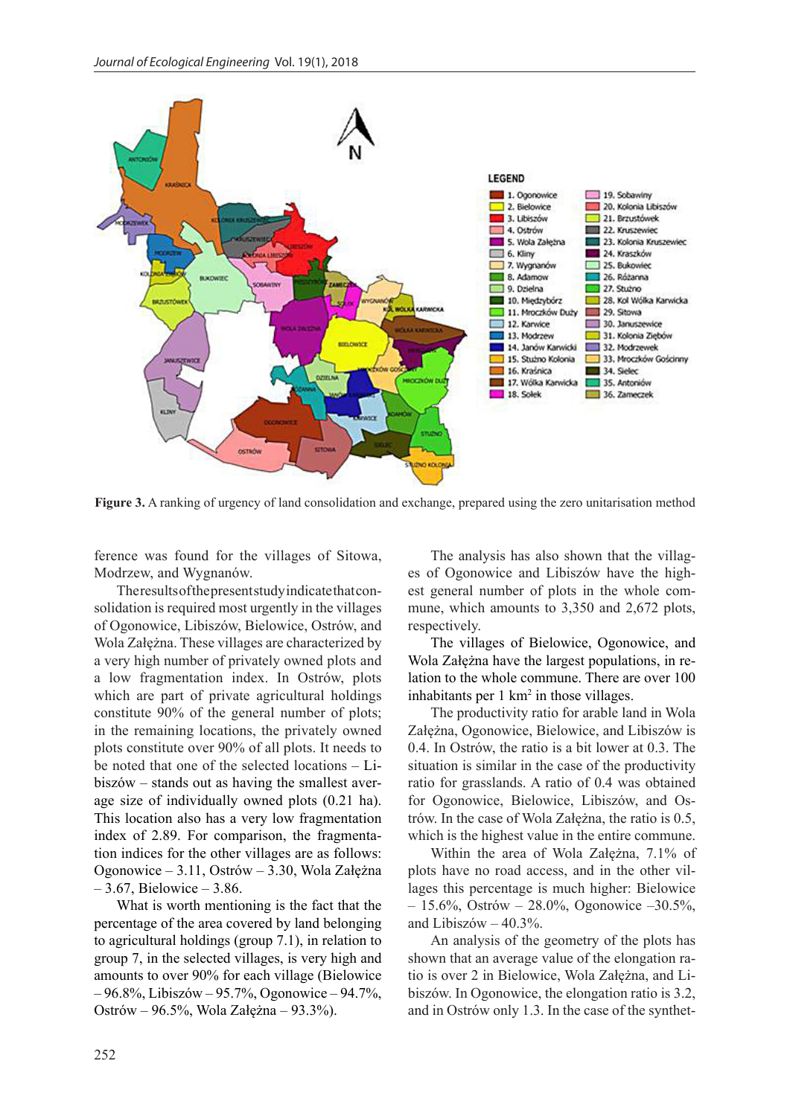

**Figure 3.** A ranking of urgency of land consolidation and exchange, prepared using the zero unitarisation method

ference was found for the villages of Sitowa, Modrzew, and Wygnanów.

The results of the present study indicate that consolidation is required most urgently in the villages of Ogonowice, Libiszów, Bielowice, Ostrów, and Wola Załężna. These villages are characterized by a very high number of privately owned plots and a low fragmentation index. In Ostrów, plots which are part of private agricultural holdings constitute 90% of the general number of plots; in the remaining locations, the privately owned plots constitute over 90% of all plots. It needs to be noted that one of the selected locations – Libiszów – stands out as having the smallest average size of individually owned plots (0.21 ha). This location also has a very low fragmentation index of 2.89. For comparison, the fragmentation indices for the other villages are as follows: Ogonowice – 3.11, Ostrów – 3.30, Wola Załężna – 3.67, Bielowice – 3.86.

What is worth mentioning is the fact that the percentage of the area covered by land belonging to agricultural holdings (group 7.1), in relation to group 7, in the selected villages, is very high and amounts to over 90% for each village (Bielowice – 96.8%, Libiszów – 95.7%, Ogonowice – 94.7%, Ostrów – 96.5%, Wola Załężna – 93.3%).

The analysis has also shown that the villages of Ogonowice and Libiszów have the highest general number of plots in the whole commune, which amounts to 3,350 and 2,672 plots, respectively.

The villages of Bielowice, Ogonowice, and Wola Załężna have the largest populations, in relation to the whole commune. There are over 100 inhabitants per  $1 \text{ km}^2$  in those villages.

The productivity ratio for arable land in Wola Załężna, Ogonowice, Bielowice, and Libiszów is 0.4. In Ostrów, the ratio is a bit lower at 0.3. The situation is similar in the case of the productivity ratio for grasslands. A ratio of 0.4 was obtained for Ogonowice, Bielowice, Libiszów, and Ostrów. In the case of Wola Załężna, the ratio is 0.5, which is the highest value in the entire commune.

Within the area of Wola Załężna, 7.1% of plots have no road access, and in the other villages this percentage is much higher: Bielowice  $-15.6\%$ , Ostrów – 28.0%, Ogonowice –30.5%, and Libiszów – 40.3%.

An analysis of the geometry of the plots has shown that an average value of the elongation ratio is over 2 in Bielowice, Wola Załężna, and Libiszów. In Ogonowice, the elongation ratio is 3.2, and in Ostrów only 1.3. In the case of the synthet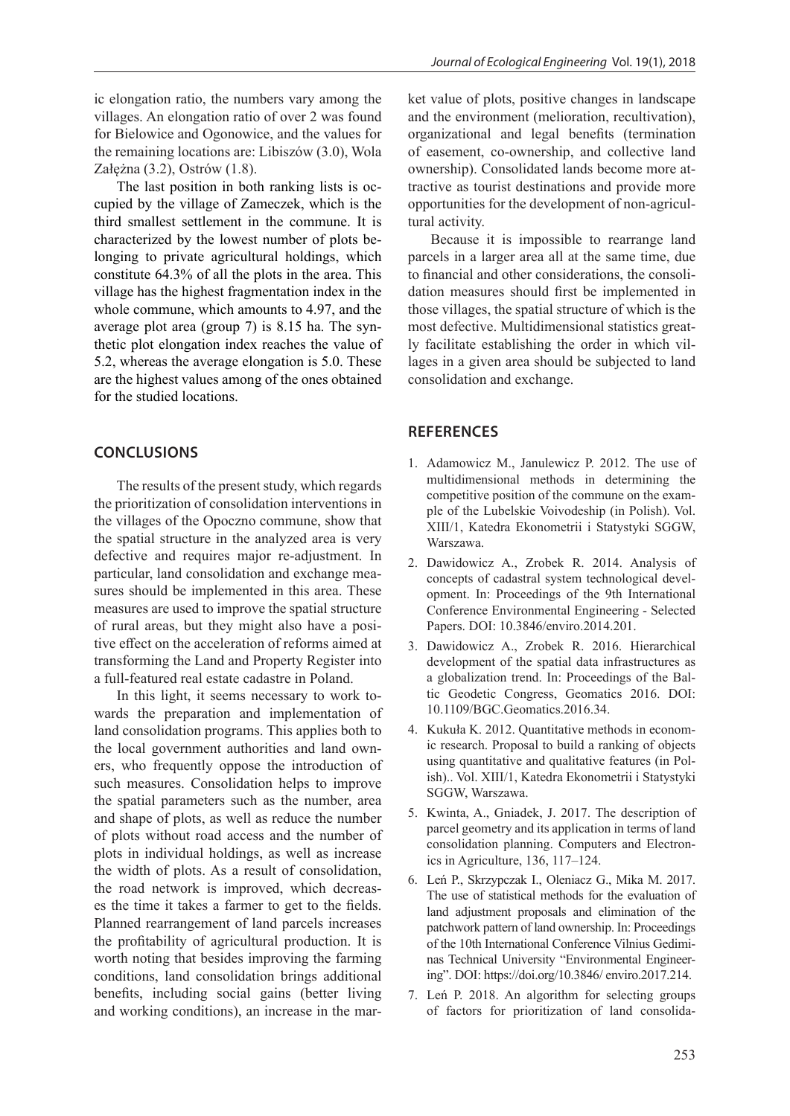ic elongation ratio, the numbers vary among the villages. An elongation ratio of over 2 was found for Bielowice and Ogonowice, and the values for the remaining locations are: Libiszów (3.0), Wola Załężna (3.2), Ostrów (1.8).

The last position in both ranking lists is occupied by the village of Zameczek, which is the third smallest settlement in the commune. It is characterized by the lowest number of plots belonging to private agricultural holdings, which constitute 64.3% of all the plots in the area. This village has the highest fragmentation index in the whole commune, which amounts to 4.97, and the average plot area (group 7) is 8.15 ha. The synthetic plot elongation index reaches the value of 5.2, whereas the average elongation is 5.0. These are the highest values among of the ones obtained for the studied locations.

#### **CONCLUSIONS**

The results of the present study, which regards the prioritization of consolidation interventions in the villages of the Opoczno commune, show that the spatial structure in the analyzed area is very defective and requires major re-adjustment. In particular, land consolidation and exchange measures should be implemented in this area. These measures are used to improve the spatial structure of rural areas, but they might also have a positive effect on the acceleration of reforms aimed at transforming the Land and Property Register into a full-featured real estate cadastre in Poland.

In this light, it seems necessary to work towards the preparation and implementation of land consolidation programs. This applies both to the local government authorities and land owners, who frequently oppose the introduction of such measures. Consolidation helps to improve the spatial parameters such as the number, area and shape of plots, as well as reduce the number of plots without road access and the number of plots in individual holdings, as well as increase the width of plots. As a result of consolidation, the road network is improved, which decreases the time it takes a farmer to get to the fields. Planned rearrangement of land parcels increases the profitability of agricultural production. It is worth noting that besides improving the farming conditions, land consolidation brings additional benefits, including social gains (better living and working conditions), an increase in the market value of plots, positive changes in landscape and the environment (melioration, recultivation), organizational and legal benefits (termination of easement, co-ownership, and collective land ownership). Consolidated lands become more attractive as tourist destinations and provide more opportunities for the development of non-agricultural activity.

Because it is impossible to rearrange land parcels in a larger area all at the same time, due to financial and other considerations, the consolidation measures should first be implemented in those villages, the spatial structure of which is the most defective. Multidimensional statistics greatly facilitate establishing the order in which villages in a given area should be subjected to land consolidation and exchange.

#### **REFERENCES**

- 1. Adamowicz M., Janulewicz P. 2012. The use of multidimensional methods in determining the competitive position of the commune on the example of the Lubelskie Voivodeship (in Polish). Vol. XIII/1, Katedra Ekonometrii i Statystyki SGGW, Warszawa.
- 2. Dawidowicz A., Zrobek R. 2014. Analysis of concepts of cadastral system technological development. In: Proceedings of the 9th International Conference Environmental Engineering - Selected Papers. DOI: 10.3846/enviro.2014.201.
- 3. Dawidowicz A., Zrobek R. 2016. Hierarchical development of the spatial data infrastructures as a globalization trend. In: Proceedings of the Baltic Geodetic Congress, Geomatics 2016. DOI: 10.1109/BGC.Geomatics.2016.34.
- 4. Kukuła K. 2012. Quantitative methods in economic research. Proposal to build a ranking of objects using quantitative and qualitative features (in Polish).. Vol. XIII/1, Katedra Ekonometrii i Statystyki SGGW, Warszawa.
- 5. Kwinta, A., Gniadek, J. 2017. The description of parcel geometry and its application in terms of land consolidation planning. Computers and Electronics in Agriculture, 136, 117–124.
- 6. Leń P., Skrzypczak I., Oleniacz G., Mika M. 2017. The use of statistical methods for the evaluation of land adjustment proposals and elimination of the patchwork pattern of land ownership. In: Proceedings of the 10th International Conference Vilnius Gediminas Technical University "Environmental Engineering". DOI: https://doi.org/10.3846/ enviro.2017.214.
- 7. Leń P. 2018. An algorithm for selecting groups of factors for prioritization of land consolida-